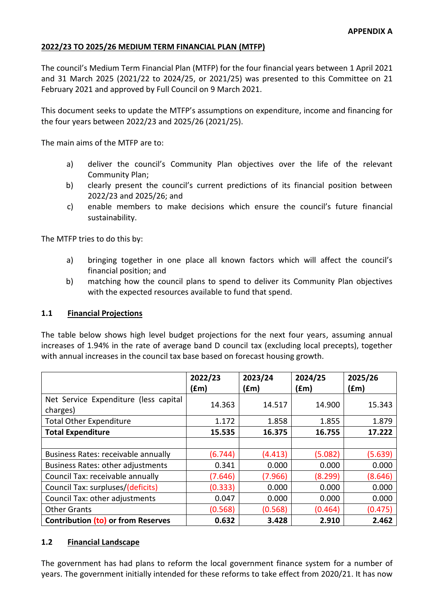### **2022/23 TO 2025/26 MEDIUM TERM FINANCIAL PLAN (MTFP)**

The council's Medium Term Financial Plan (MTFP) for the four financial years between 1 April 2021 and 31 March 2025 (2021/22 to 2024/25, or 2021/25) was presented to this Committee on 21 February 2021 and approved by Full Council on 9 March 2021.

This document seeks to update the MTFP's assumptions on expenditure, income and financing for the four years between 2022/23 and 2025/26 (2021/25).

The main aims of the MTFP are to:

- a) deliver the council's Community Plan objectives over the life of the relevant Community Plan;
- b) clearly present the council's current predictions of its financial position between 2022/23 and 2025/26; and
- c) enable members to make decisions which ensure the council's future financial sustainability.

The MTFP tries to do this by:

- a) bringing together in one place all known factors which will affect the council's financial position; and
- b) matching how the council plans to spend to deliver its Community Plan objectives with the expected resources available to fund that spend.

### **1.1 Financial Projections**

The table below shows high level budget projections for the next four years, assuming annual increases of 1.94% in the rate of average band D council tax (excluding local precepts), together with annual increases in the council tax base based on forecast housing growth.

|                                                   | 2022/23<br>f(m) | 2023/24<br>(£m) | 2024/25<br>(fm) | 2025/26<br>$(\text{fm})$ |
|---------------------------------------------------|-----------------|-----------------|-----------------|--------------------------|
| Net Service Expenditure (less capital<br>charges) | 14.363          | 14.517          | 14.900          | 15.343                   |
| <b>Total Other Expenditure</b>                    | 1.172           | 1.858           | 1.855           | 1.879                    |
| <b>Total Expenditure</b>                          | 15.535          | 16.375          | 16.755          | 17.222                   |
|                                                   |                 |                 |                 |                          |
| Business Rates: receivable annually               | (6.744)         | (4.413)         | (5.082)         | (5.639)                  |
| <b>Business Rates: other adjustments</b>          | 0.341           | 0.000           | 0.000           | 0.000                    |
| Council Tax: receivable annually                  | (7.646)         | (7.966)         | (8.299)         | (8.646)                  |
| Council Tax: surpluses/(deficits)                 | (0.333)         | 0.000           | 0.000           | 0.000                    |
| Council Tax: other adjustments                    | 0.047           | 0.000           | 0.000           | 0.000                    |
| <b>Other Grants</b>                               | (0.568)         | (0.568)         | (0.464)         | (0.475)                  |
| <b>Contribution (to) or from Reserves</b>         | 0.632           | 3.428           | 2.910           | 2.462                    |

### **1.2 Financial Landscape**

The government has had plans to reform the local government finance system for a number of years. The government initially intended for these reforms to take effect from 2020/21. It has now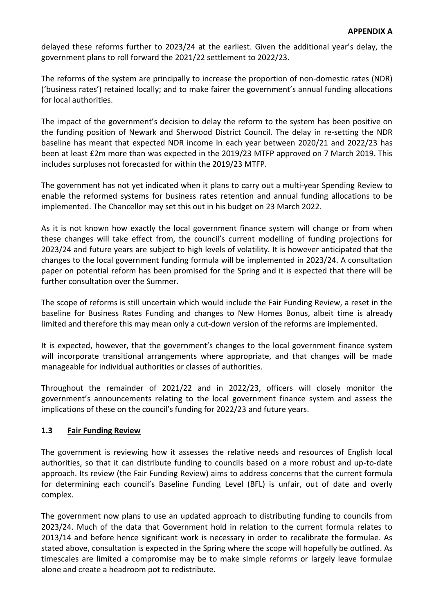delayed these reforms further to 2023/24 at the earliest. Given the additional year's delay, the government plans to roll forward the 2021/22 settlement to 2022/23.

The reforms of the system are principally to increase the proportion of non-domestic rates (NDR) ('business rates') retained locally; and to make fairer the government's annual funding allocations for local authorities.

The impact of the government's decision to delay the reform to the system has been positive on the funding position of Newark and Sherwood District Council. The delay in re-setting the NDR baseline has meant that expected NDR income in each year between 2020/21 and 2022/23 has been at least £2m more than was expected in the 2019/23 MTFP approved on 7 March 2019. This includes surpluses not forecasted for within the 2019/23 MTFP.

The government has not yet indicated when it plans to carry out a multi-year Spending Review to enable the reformed systems for business rates retention and annual funding allocations to be implemented. The Chancellor may set this out in his budget on 23 March 2022.

As it is not known how exactly the local government finance system will change or from when these changes will take effect from, the council's current modelling of funding projections for 2023/24 and future years are subject to high levels of volatility. It is however anticipated that the changes to the local government funding formula will be implemented in 2023/24. A consultation paper on potential reform has been promised for the Spring and it is expected that there will be further consultation over the Summer.

The scope of reforms is still uncertain which would include the Fair Funding Review, a reset in the baseline for Business Rates Funding and changes to New Homes Bonus, albeit time is already limited and therefore this may mean only a cut-down version of the reforms are implemented.

It is expected, however, that the government's changes to the local government finance system will incorporate transitional arrangements where appropriate, and that changes will be made manageable for individual authorities or classes of authorities.

Throughout the remainder of 2021/22 and in 2022/23, officers will closely monitor the government's announcements relating to the local government finance system and assess the implications of these on the council's funding for 2022/23 and future years.

## **1.3 Fair Funding Review**

The government is reviewing how it assesses the relative needs and resources of English local authorities, so that it can distribute funding to councils based on a more robust and up-to-date approach. Its review (the Fair Funding Review) aims to address concerns that the current formula for determining each council's Baseline Funding Level (BFL) is unfair, out of date and overly complex.

The government now plans to use an updated approach to distributing funding to councils from 2023/24. Much of the data that Government hold in relation to the current formula relates to 2013/14 and before hence significant work is necessary in order to recalibrate the formulae. As stated above, consultation is expected in the Spring where the scope will hopefully be outlined. As timescales are limited a compromise may be to make simple reforms or largely leave formulae alone and create a headroom pot to redistribute.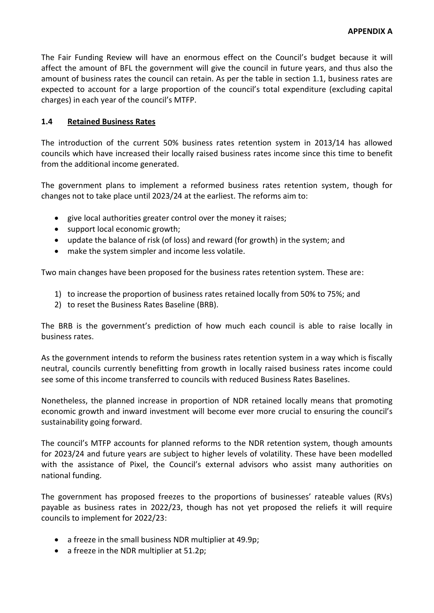The Fair Funding Review will have an enormous effect on the Council's budget because it will affect the amount of BFL the government will give the council in future years, and thus also the amount of business rates the council can retain. As per the table in section 1.1, business rates are expected to account for a large proportion of the council's total expenditure (excluding capital charges) in each year of the council's MTFP.

## **1.4 Retained Business Rates**

The introduction of the current 50% business rates retention system in 2013/14 has allowed councils which have increased their locally raised business rates income since this time to benefit from the additional income generated.

The government plans to implement a reformed business rates retention system, though for changes not to take place until 2023/24 at the earliest. The reforms aim to:

- give local authorities greater control over the money it raises;
- support local economic growth;
- update the balance of risk (of loss) and reward (for growth) in the system; and
- make the system simpler and income less volatile.

Two main changes have been proposed for the business rates retention system. These are:

- 1) to increase the proportion of business rates retained locally from 50% to 75%; and
- 2) to reset the Business Rates Baseline (BRB).

The BRB is the government's prediction of how much each council is able to raise locally in business rates.

As the government intends to reform the business rates retention system in a way which is fiscally neutral, councils currently benefitting from growth in locally raised business rates income could see some of this income transferred to councils with reduced Business Rates Baselines.

Nonetheless, the planned increase in proportion of NDR retained locally means that promoting economic growth and inward investment will become ever more crucial to ensuring the council's sustainability going forward.

The council's MTFP accounts for planned reforms to the NDR retention system, though amounts for 2023/24 and future years are subject to higher levels of volatility. These have been modelled with the assistance of Pixel, the Council's external advisors who assist many authorities on national funding.

The government has proposed freezes to the proportions of businesses' rateable values (RVs) payable as business rates in 2022/23, though has not yet proposed the reliefs it will require councils to implement for 2022/23:

- a freeze in the small business NDR multiplier at 49.9p;
- a freeze in the NDR multiplier at 51.2p;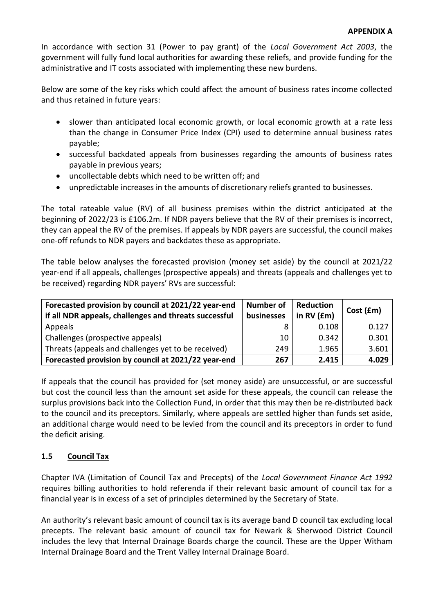In accordance with section 31 (Power to pay grant) of the *Local Government Act 2003*, the government will fully fund local authorities for awarding these reliefs, and provide funding for the administrative and IT costs associated with implementing these new burdens.

Below are some of the key risks which could affect the amount of business rates income collected and thus retained in future years:

- slower than anticipated local economic growth, or local economic growth at a rate less than the change in Consumer Price Index (CPI) used to determine annual business rates payable;
- successful backdated appeals from businesses regarding the amounts of business rates payable in previous years;
- uncollectable debts which need to be written off; and
- unpredictable increases in the amounts of discretionary reliefs granted to businesses.

The total rateable value (RV) of all business premises within the district anticipated at the beginning of 2022/23 is £106.2m. If NDR payers believe that the RV of their premises is incorrect, they can appeal the RV of the premises. If appeals by NDR payers are successful, the council makes one-off refunds to NDR payers and backdates these as appropriate.

The table below analyses the forecasted provision (money set aside) by the council at 2021/22 year-end if all appeals, challenges (prospective appeals) and threats (appeals and challenges yet to be received) regarding NDR payers' RVs are successful:

| Forecasted provision by council at 2021/22 year-end<br>if all NDR appeals, challenges and threats successful | <b>Number of</b><br>businesses | <b>Reduction</b><br>in RV (£m) | Cost (£m) |
|--------------------------------------------------------------------------------------------------------------|--------------------------------|--------------------------------|-----------|
| Appeals                                                                                                      | 8                              | 0.108                          | 0.127     |
| Challenges (prospective appeals)                                                                             | 10                             | 0.342                          | 0.301     |
| Threats (appeals and challenges yet to be received)                                                          | 249                            | 1.965                          | 3.601     |
| Forecasted provision by council at 2021/22 year-end                                                          | 267                            | 2.415                          | 4.029     |

If appeals that the council has provided for (set money aside) are unsuccessful, or are successful but cost the council less than the amount set aside for these appeals, the council can release the surplus provisions back into the Collection Fund, in order that this may then be re-distributed back to the council and its preceptors. Similarly, where appeals are settled higher than funds set aside, an additional charge would need to be levied from the council and its preceptors in order to fund the deficit arising.

# **1.5 Council Tax**

Chapter IVA (Limitation of Council Tax and Precepts) of the *Local Government Finance Act 1992* requires billing authorities to hold referenda if their relevant basic amount of council tax for a financial year is in excess of a set of principles determined by the Secretary of State.

An authority's relevant basic amount of council tax is its average band D council tax excluding local precepts. The relevant basic amount of council tax for Newark & Sherwood District Council includes the levy that Internal Drainage Boards charge the council. These are the Upper Witham Internal Drainage Board and the Trent Valley Internal Drainage Board.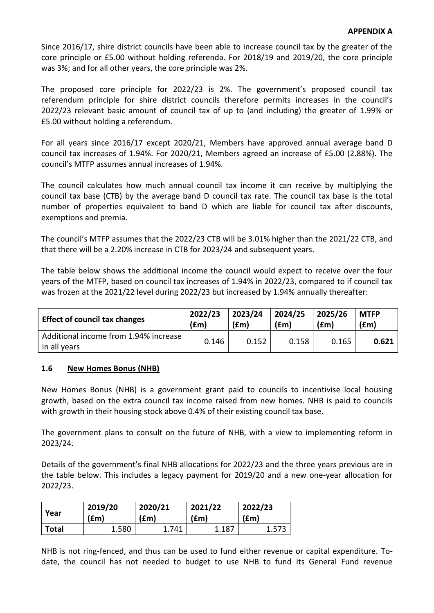Since 2016/17, shire district councils have been able to increase council tax by the greater of the core principle or £5.00 without holding referenda. For 2018/19 and 2019/20, the core principle was 3%; and for all other years, the core principle was 2%.

The proposed core principle for 2022/23 is 2%. The government's proposed council tax referendum principle for shire district councils therefore permits increases in the council's 2022/23 relevant basic amount of council tax of up to (and including) the greater of 1.99% or £5.00 without holding a referendum.

For all years since 2016/17 except 2020/21, Members have approved annual average band D council tax increases of 1.94%. For 2020/21, Members agreed an increase of £5.00 (2.88%). The council's MTFP assumes annual increases of 1.94%.

The council calculates how much annual council tax income it can receive by multiplying the council tax base (CTB) by the average band D council tax rate. The council tax base is the total number of properties equivalent to band D which are liable for council tax after discounts, exemptions and premia.

The council's MTFP assumes that the 2022/23 CTB will be 3.01% higher than the 2021/22 CTB, and that there will be a 2.20% increase in CTB for 2023/24 and subsequent years.

The table below shows the additional income the council would expect to receive over the four years of the MTFP, based on council tax increases of 1.94% in 2022/23, compared to if council tax was frozen at the 2021/22 level during 2022/23 but increased by 1.94% annually thereafter:

| <b>Effect of council tax changes</b>                  | 2022/23 | 2023/24 | 2024/25 | 2025/26 | <b>MTFP</b> |
|-------------------------------------------------------|---------|---------|---------|---------|-------------|
|                                                       | (fm)    | (fm)    | (fm)    | (fm)    | f(m)        |
| Additional income from 1.94% increase<br>in all years | 0.146   | 0.152   | 0.158   | 0.165   | 0.621       |

## **1.6 New Homes Bonus (NHB)**

New Homes Bonus (NHB) is a government grant paid to councils to incentivise local housing growth, based on the extra council tax income raised from new homes. NHB is paid to councils with growth in their housing stock above 0.4% of their existing council tax base.

The government plans to consult on the future of NHB, with a view to implementing reform in 2023/24.

Details of the government's final NHB allocations for 2022/23 and the three years previous are in the table below. This includes a legacy payment for 2019/20 and a new one-year allocation for 2022/23.

| Year         | 2019/20 | 2020/21 | 2021/22 | 2022/23 |
|--------------|---------|---------|---------|---------|
|              | (£m)    | (£m)    | (fm)    | (fm)    |
| <b>Total</b> | 1.580   | 1.741   | 1.187   | 1.573   |

NHB is not ring-fenced, and thus can be used to fund either revenue or capital expenditure. Todate, the council has not needed to budget to use NHB to fund its General Fund revenue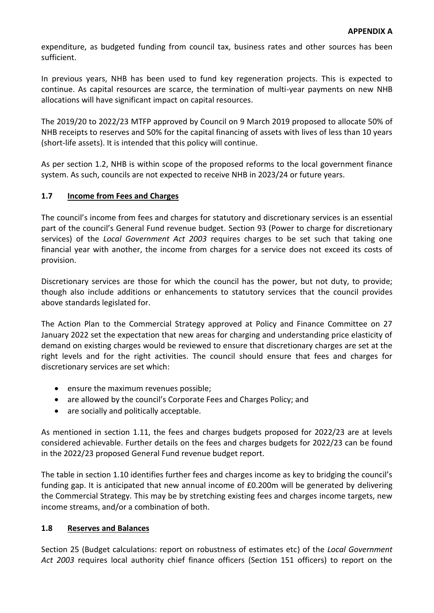expenditure, as budgeted funding from council tax, business rates and other sources has been sufficient.

In previous years, NHB has been used to fund key regeneration projects. This is expected to continue. As capital resources are scarce, the termination of multi-year payments on new NHB allocations will have significant impact on capital resources.

The 2019/20 to 2022/23 MTFP approved by Council on 9 March 2019 proposed to allocate 50% of NHB receipts to reserves and 50% for the capital financing of assets with lives of less than 10 years (short-life assets). It is intended that this policy will continue.

As per section 1.2, NHB is within scope of the proposed reforms to the local government finance system. As such, councils are not expected to receive NHB in 2023/24 or future years.

## **1.7 Income from Fees and Charges**

The council's income from fees and charges for statutory and discretionary services is an essential part of the council's General Fund revenue budget. Section 93 (Power to charge for discretionary services) of the *Local Government Act 2003* requires charges to be set such that taking one financial year with another, the income from charges for a service does not exceed its costs of provision.

Discretionary services are those for which the council has the power, but not duty, to provide; though also include additions or enhancements to statutory services that the council provides above standards legislated for.

The Action Plan to the Commercial Strategy approved at Policy and Finance Committee on 27 January 2022 set the expectation that new areas for charging and understanding price elasticity of demand on existing charges would be reviewed to ensure that discretionary charges are set at the right levels and for the right activities. The council should ensure that fees and charges for discretionary services are set which:

- ensure the maximum revenues possible;
- are allowed by the council's Corporate Fees and Charges Policy; and
- are socially and politically acceptable.

As mentioned in section 1.11, the fees and charges budgets proposed for 2022/23 are at levels considered achievable. Further details on the fees and charges budgets for 2022/23 can be found in the 2022/23 proposed General Fund revenue budget report.

The table in section 1.10 identifies further fees and charges income as key to bridging the council's funding gap. It is anticipated that new annual income of £0.200m will be generated by delivering the Commercial Strategy. This may be by stretching existing fees and charges income targets, new income streams, and/or a combination of both.

## **1.8 Reserves and Balances**

Section 25 (Budget calculations: report on robustness of estimates etc) of the *Local Government Act 2003* requires local authority chief finance officers (Section 151 officers) to report on the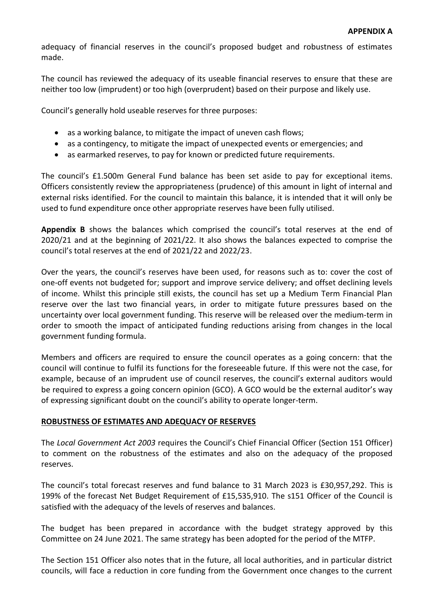adequacy of financial reserves in the council's proposed budget and robustness of estimates made.

The council has reviewed the adequacy of its useable financial reserves to ensure that these are neither too low (imprudent) or too high (overprudent) based on their purpose and likely use.

Council's generally hold useable reserves for three purposes:

- as a working balance, to mitigate the impact of uneven cash flows;
- as a contingency, to mitigate the impact of unexpected events or emergencies; and
- as earmarked reserves, to pay for known or predicted future requirements.

The council's £1.500m General Fund balance has been set aside to pay for exceptional items. Officers consistently review the appropriateness (prudence) of this amount in light of internal and external risks identified. For the council to maintain this balance, it is intended that it will only be used to fund expenditure once other appropriate reserves have been fully utilised.

**Appendix B** shows the balances which comprised the council's total reserves at the end of 2020/21 and at the beginning of 2021/22. It also shows the balances expected to comprise the council's total reserves at the end of 2021/22 and 2022/23.

Over the years, the council's reserves have been used, for reasons such as to: cover the cost of one-off events not budgeted for; support and improve service delivery; and offset declining levels of income. Whilst this principle still exists, the council has set up a Medium Term Financial Plan reserve over the last two financial years, in order to mitigate future pressures based on the uncertainty over local government funding. This reserve will be released over the medium-term in order to smooth the impact of anticipated funding reductions arising from changes in the local government funding formula.

Members and officers are required to ensure the council operates as a going concern: that the council will continue to fulfil its functions for the foreseeable future. If this were not the case, for example, because of an imprudent use of council reserves, the council's external auditors would be required to express a going concern opinion (GCO). A GCO would be the external auditor's way of expressing significant doubt on the council's ability to operate longer-term.

### **ROBUSTNESS OF ESTIMATES AND ADEQUACY OF RESERVES**

The *Local Government Act 2003* requires the Council's Chief Financial Officer (Section 151 Officer) to comment on the robustness of the estimates and also on the adequacy of the proposed reserves.

The council's total forecast reserves and fund balance to 31 March 2023 is £30,957,292. This is 199% of the forecast Net Budget Requirement of £15,535,910. The s151 Officer of the Council is satisfied with the adequacy of the levels of reserves and balances.

The budget has been prepared in accordance with the budget strategy approved by this Committee on 24 June 2021. The same strategy has been adopted for the period of the MTFP.

The Section 151 Officer also notes that in the future, all local authorities, and in particular district councils, will face a reduction in core funding from the Government once changes to the current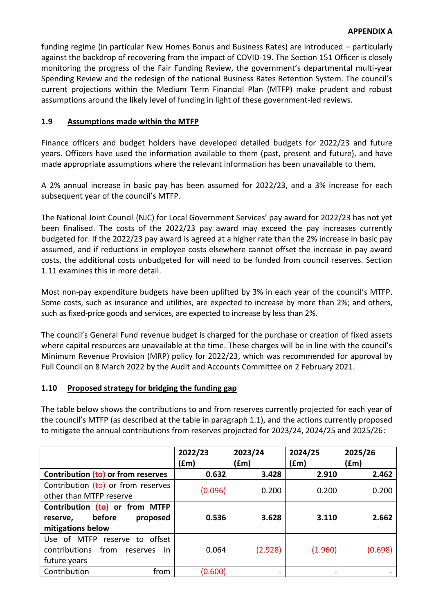funding regime (in particular New Homes Bonus and Business Rates) are introduced – particularly against the backdrop of recovering from the impact of COVID-19. The Section 151 Officer is closely monitoring the progress of the Fair Funding Review, the government's departmental multi-year Spending Review and the redesign of the national Business Rates Retention System. The council's current projections within the Medium Term Financial Plan (MTFP) make prudent and robust assumptions around the likely level of funding in light of these government-led reviews.

## **1.9 Assumptions made within the MTFP**

Finance officers and budget holders have developed detailed budgets for 2022/23 and future years. Officers have used the information available to them (past, present and future), and have made appropriate assumptions where the relevant information has been unavailable to them.

A 2% annual increase in basic pay has been assumed for 2022/23, and a 3% increase for each subsequent year of the council's MTFP.

The National Joint Council (NJC) for Local Government Services' pay award for 2022/23 has not yet been finalised. The costs of the 2022/23 pay award may exceed the pay increases currently budgeted for. If the 2022/23 pay award is agreed at a higher rate than the 2% increase in basic pay assumed, and if reductions in employee costs elsewhere cannot offset the increase in pay award costs, the additional costs unbudgeted for will need to be funded from council reserves. Section 1.11 examines this in more detail.

Most non-pay expenditure budgets have been uplifted by 3% in each year of the council's MTFP. Some costs, such as insurance and utilities, are expected to increase by more than 2%; and others, such as fixed-price goods and services, are expected to increase by less than 2%.

The council's General Fund revenue budget is charged for the purchase or creation of fixed assets where capital resources are unavailable at the time. These charges will be in line with the council's Minimum Revenue Provision (MRP) policy for 2022/23, which was recommended for approval by Full Council on 8 March 2022 by the Audit and Accounts Committee on 2 February 2021.

### **1.10 Proposed strategy for bridging the funding gap**

The table below shows the contributions to and from reserves currently projected for each year of the council's MTFP (as described at the table in paragraph 1.1), and the actions currently proposed to mitigate the annual contributions from reserves projected for 2023/24, 2024/25 and 2025/26:

|                                                                                                    | 2022/23<br>(£m) | 2023/24<br>(fm)          | 2024/25<br>(£m) | 2025/26<br>(£m) |
|----------------------------------------------------------------------------------------------------|-----------------|--------------------------|-----------------|-----------------|
| Contribution (to) or from reserves                                                                 | 0.632           | 3.428                    | 2.910           | 2.462           |
| Contribution (to) or from reserves<br>other than MTFP reserve                                      | (0.096)         | 0.200                    | 0.200           | 0.200           |
| Contribution (to) or from MTFP<br>before<br>proposed<br>reserve,<br>mitigations below              | 0.536           | 3.628                    | 3.110           | 2.662           |
| Use of MTFP<br>reserve to offset<br>from<br>contributions<br>reserves<br><i>in</i><br>future years | 0.064           | (2.928)                  | (1.960)         | (0.698)         |
| Contribution<br>from                                                                               | (0.600)         | $\overline{\phantom{a}}$ | -               |                 |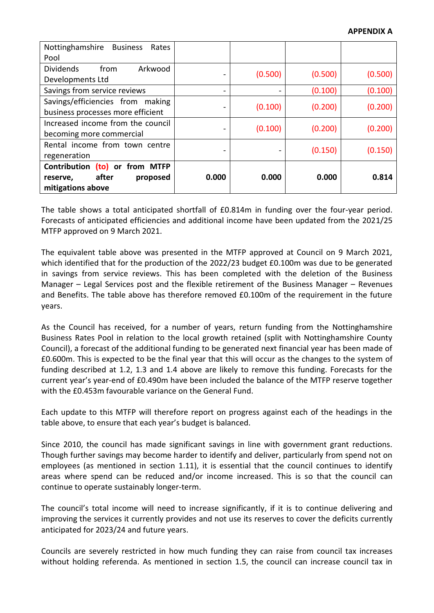| Nottinghamshire<br><b>Business</b><br>Rates<br>Pool                                     |                          |         |         |         |
|-----------------------------------------------------------------------------------------|--------------------------|---------|---------|---------|
| <b>Dividends</b><br>Arkwood<br>from<br>Developments Ltd                                 |                          | (0.500) | (0.500) | (0.500) |
| Savings from service reviews                                                            |                          |         | (0.100) | (0.100) |
| Savings/efficiencies from making<br>business processes more efficient                   |                          | (0.100) | (0.200) | (0.200) |
| Increased income from the council<br>becoming more commercial                           |                          | (0.100) | (0.200) | (0.200) |
| Rental income from town centre<br>regeneration                                          | $\overline{\phantom{a}}$ | -       | (0.150) | (0.150) |
| Contribution<br>(to) or from MTFP<br>after<br>proposed<br>reserve,<br>mitigations above | 0.000                    | 0.000   | 0.000   | 0.814   |

The table shows a total anticipated shortfall of £0.814m in funding over the four-year period. Forecasts of anticipated efficiencies and additional income have been updated from the 2021/25 MTFP approved on 9 March 2021.

The equivalent table above was presented in the MTFP approved at Council on 9 March 2021, which identified that for the production of the 2022/23 budget £0.100m was due to be generated in savings from service reviews. This has been completed with the deletion of the Business Manager – Legal Services post and the flexible retirement of the Business Manager – Revenues and Benefits. The table above has therefore removed £0.100m of the requirement in the future years.

As the Council has received, for a number of years, return funding from the Nottinghamshire Business Rates Pool in relation to the local growth retained (split with Nottinghamshire County Council), a forecast of the additional funding to be generated next financial year has been made of £0.600m. This is expected to be the final year that this will occur as the changes to the system of funding described at 1.2, 1.3 and 1.4 above are likely to remove this funding. Forecasts for the current year's year-end of £0.490m have been included the balance of the MTFP reserve together with the £0.453m favourable variance on the General Fund

Each update to this MTFP will therefore report on progress against each of the headings in the table above, to ensure that each year's budget is balanced.

Since 2010, the council has made significant savings in line with government grant reductions. Though further savings may become harder to identify and deliver, particularly from spend not on employees (as mentioned in section 1.11), it is essential that the council continues to identify areas where spend can be reduced and/or income increased. This is so that the council can continue to operate sustainably longer-term.

The council's total income will need to increase significantly, if it is to continue delivering and improving the services it currently provides and not use its reserves to cover the deficits currently anticipated for 2023/24 and future years.

Councils are severely restricted in how much funding they can raise from council tax increases without holding referenda. As mentioned in section 1.5, the council can increase council tax in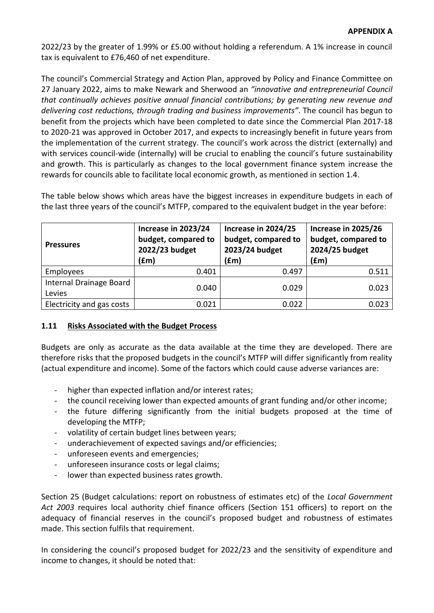2022/23 by the greater of 1.99% or £5.00 without holding a referendum. A 1% increase in council tax is equivalent to £76,460 of net expenditure.

The council's Commercial Strategy and Action Plan, approved by Policy and Finance Committee on 27 January 2022, aims to make Newark and Sherwood an *"innovative and entrepreneurial Council that continually achieves positive annual financial contributions; by generating new revenue and delivering cost reductions, through trading and business improvements"*. The council has begun to benefit from the projects which have been completed to date since the Commercial Plan 2017-18 to 2020-21 was approved in October 2017, and expects to increasingly benefit in future years from the implementation of the current strategy. The council's work across the district (externally) and with services council-wide (internally) will be crucial to enabling the council's future sustainability and growth. This is particularly as changes to the local government finance system increase the rewards for councils able to facilitate local economic growth, as mentioned in section 1.4.

The table below shows which areas have the biggest increases in expenditure budgets in each of the last three years of the council's MTFP, compared to the equivalent budget in the year before:

| <b>Pressures</b>                  | Increase in 2023/24<br>budget, compared to<br>2022/23 budget<br>(fm) | Increase in 2024/25<br>budget, compared to<br>2023/24 budget<br>(fm) | Increase in 2025/26<br>budget, compared to<br>2024/25 budget<br>(fm) |
|-----------------------------------|----------------------------------------------------------------------|----------------------------------------------------------------------|----------------------------------------------------------------------|
| Employees                         | 0.401                                                                | 0.497                                                                | 0.511                                                                |
| Internal Drainage Board<br>Levies | 0.040                                                                | 0.029                                                                | 0.023                                                                |
| Electricity and gas costs         | 0.021                                                                | 0.022                                                                | 0.023                                                                |

### **1.11 Risks Associated with the Budget Process**

Budgets are only as accurate as the data available at the time they are developed. There are therefore risks that the proposed budgets in the council's MTFP will differ significantly from reality (actual expenditure and income). Some of the factors which could cause adverse variances are:

- higher than expected inflation and/or interest rates;
- the council receiving lower than expected amounts of grant funding and/or other income;
- the future differing significantly from the initial budgets proposed at the time of developing the MTFP;
- volatility of certain budget lines between years;
- underachievement of expected savings and/or efficiencies;
- unforeseen events and emergencies;
- unforeseen insurance costs or legal claims;
- lower than expected business rates growth.

Section 25 (Budget calculations: report on robustness of estimates etc) of the *Local Government Act 2003* requires local authority chief finance officers (Section 151 officers) to report on the adequacy of financial reserves in the council's proposed budget and robustness of estimates made. This section fulfils that requirement.

In considering the council's proposed budget for 2022/23 and the sensitivity of expenditure and income to changes, it should be noted that: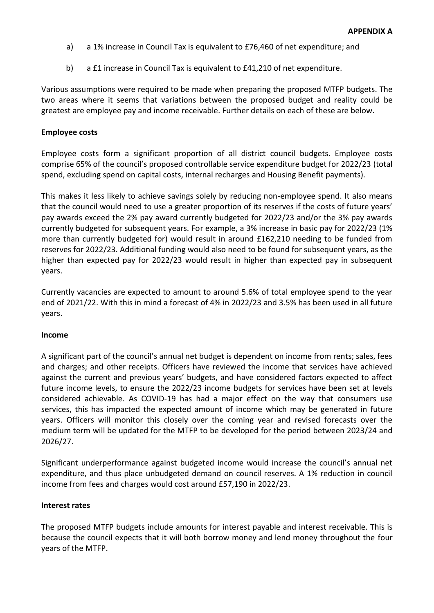- a) a 1% increase in Council Tax is equivalent to £76,460 of net expenditure; and
- b) a £1 increase in Council Tax is equivalent to £41,210 of net expenditure.

Various assumptions were required to be made when preparing the proposed MTFP budgets. The two areas where it seems that variations between the proposed budget and reality could be greatest are employee pay and income receivable. Further details on each of these are below.

### **Employee costs**

Employee costs form a significant proportion of all district council budgets. Employee costs comprise 65% of the council's proposed controllable service expenditure budget for 2022/23 (total spend, excluding spend on capital costs, internal recharges and Housing Benefit payments).

This makes it less likely to achieve savings solely by reducing non-employee spend. It also means that the council would need to use a greater proportion of its reserves if the costs of future years' pay awards exceed the 2% pay award currently budgeted for 2022/23 and/or the 3% pay awards currently budgeted for subsequent years. For example, a 3% increase in basic pay for 2022/23 (1% more than currently budgeted for) would result in around £162,210 needing to be funded from reserves for 2022/23. Additional funding would also need to be found for subsequent years, as the higher than expected pay for 2022/23 would result in higher than expected pay in subsequent years.

Currently vacancies are expected to amount to around 5.6% of total employee spend to the year end of 2021/22. With this in mind a forecast of 4% in 2022/23 and 3.5% has been used in all future years.

#### **Income**

A significant part of the council's annual net budget is dependent on income from rents; sales, fees and charges; and other receipts. Officers have reviewed the income that services have achieved against the current and previous years' budgets, and have considered factors expected to affect future income levels, to ensure the 2022/23 income budgets for services have been set at levels considered achievable. As COVID-19 has had a major effect on the way that consumers use services, this has impacted the expected amount of income which may be generated in future years. Officers will monitor this closely over the coming year and revised forecasts over the medium term will be updated for the MTFP to be developed for the period between 2023/24 and 2026/27.

Significant underperformance against budgeted income would increase the council's annual net expenditure, and thus place unbudgeted demand on council reserves. A 1% reduction in council income from fees and charges would cost around £57,190 in 2022/23.

#### **Interest rates**

The proposed MTFP budgets include amounts for interest payable and interest receivable. This is because the council expects that it will both borrow money and lend money throughout the four years of the MTFP.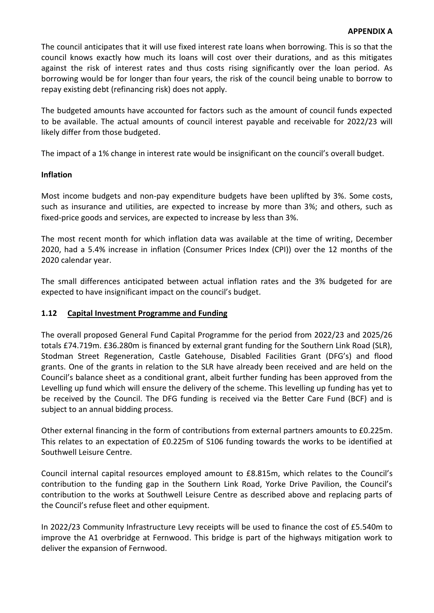The council anticipates that it will use fixed interest rate loans when borrowing. This is so that the council knows exactly how much its loans will cost over their durations, and as this mitigates against the risk of interest rates and thus costs rising significantly over the loan period. As borrowing would be for longer than four years, the risk of the council being unable to borrow to repay existing debt (refinancing risk) does not apply.

The budgeted amounts have accounted for factors such as the amount of council funds expected to be available. The actual amounts of council interest payable and receivable for 2022/23 will likely differ from those budgeted.

The impact of a 1% change in interest rate would be insignificant on the council's overall budget.

## **Inflation**

Most income budgets and non-pay expenditure budgets have been uplifted by 3%. Some costs, such as insurance and utilities, are expected to increase by more than 3%; and others, such as fixed-price goods and services, are expected to increase by less than 3%.

The most recent month for which inflation data was available at the time of writing, December 2020, had a 5.4% increase in inflation (Consumer Prices Index (CPI)) over the 12 months of the 2020 calendar year.

The small differences anticipated between actual inflation rates and the 3% budgeted for are expected to have insignificant impact on the council's budget.

## **1.12 Capital Investment Programme and Funding**

The overall proposed General Fund Capital Programme for the period from 2022/23 and 2025/26 totals £74.719m. £36.280m is financed by external grant funding for the Southern Link Road (SLR), Stodman Street Regeneration, Castle Gatehouse, Disabled Facilities Grant (DFG's) and flood grants. One of the grants in relation to the SLR have already been received and are held on the Council's balance sheet as a conditional grant, albeit further funding has been approved from the Levelling up fund which will ensure the delivery of the scheme. This levelling up funding has yet to be received by the Council. The DFG funding is received via the Better Care Fund (BCF) and is subject to an annual bidding process.

Other external financing in the form of contributions from external partners amounts to £0.225m. This relates to an expectation of £0.225m of S106 funding towards the works to be identified at Southwell Leisure Centre.

Council internal capital resources employed amount to £8.815m, which relates to the Council's contribution to the funding gap in the Southern Link Road, Yorke Drive Pavilion, the Council's contribution to the works at Southwell Leisure Centre as described above and replacing parts of the Council's refuse fleet and other equipment.

In 2022/23 Community Infrastructure Levy receipts will be used to finance the cost of £5.540m to improve the A1 overbridge at Fernwood. This bridge is part of the highways mitigation work to deliver the expansion of Fernwood.